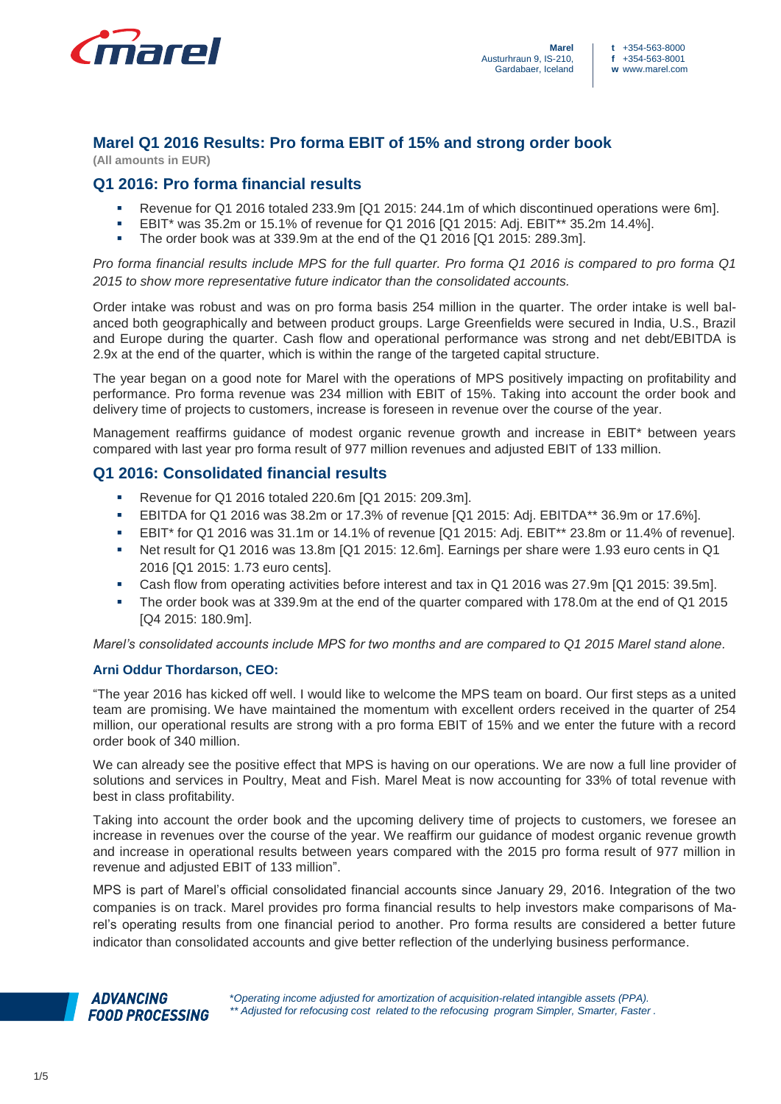

# **Marel Q1 2016 Results: Pro forma EBIT of 15% and strong order book**

**(All amounts in EUR)**

# **Q1 2016: Pro forma financial results**

- Revenue for Q1 2016 totaled 233.9m [Q1 2015: 244.1m of which discontinued operations were 6m].
- EBIT\* was 35.2m or 15.1% of revenue for Q1 2016 [Q1 2015: Adj. EBIT\*\* 35.2m 14.4%].
- The order book was at 339.9m at the end of the Q1 2016 [Q1 2015: 289.3m].

*Pro forma financial results include MPS for the full quarter. Pro forma Q1 2016 is compared to pro forma Q1 2015 to show more representative future indicator than the consolidated accounts.*

Order intake was robust and was on pro forma basis 254 million in the quarter. The order intake is well balanced both geographically and between product groups. Large Greenfields were secured in India, U.S., Brazil and Europe during the quarter. Cash flow and operational performance was strong and net debt/EBITDA is 2.9x at the end of the quarter, which is within the range of the targeted capital structure.

The year began on a good note for Marel with the operations of MPS positively impacting on profitability and performance. Pro forma revenue was 234 million with EBIT of 15%. Taking into account the order book and delivery time of projects to customers, increase is foreseen in revenue over the course of the year.

Management reaffirms guidance of modest organic revenue growth and increase in EBIT\* between years compared with last year pro forma result of 977 million revenues and adjusted EBIT of 133 million.

# **Q1 2016: Consolidated financial results**

- Revenue for Q1 2016 totaled 220.6m [Q1 2015: 209.3m].
- EBITDA for Q1 2016 was 38.2m or 17.3% of revenue [Q1 2015: Adj. EBITDA\*\* 36.9m or 17.6%].
- EBIT\* for Q1 2016 was 31.1m or 14.1% of revenue [Q1 2015: Adj. EBIT\*\* 23.8m or 11.4% of revenue].
- Net result for Q1 2016 was 13.8m [Q1 2015: 12.6m]. Earnings per share were 1.93 euro cents in Q1 2016 [Q1 2015: 1.73 euro cents].
- Cash flow from operating activities before interest and tax in Q1 2016 was 27.9m [Q1 2015: 39.5m].
- The order book was at 339.9m at the end of the quarter compared with 178.0m at the end of Q1 2015 [Q4 2015: 180.9m].

*Marel's consolidated accounts include MPS for two months and are compared to Q1 2015 Marel stand alone.*

## **Arni Oddur Thordarson, CEO:**

"The year 2016 has kicked off well. I would like to welcome the MPS team on board. Our first steps as a united team are promising. We have maintained the momentum with excellent orders received in the quarter of 254 million, our operational results are strong with a pro forma EBIT of 15% and we enter the future with a record order book of 340 million.

We can already see the positive effect that MPS is having on our operations. We are now a full line provider of solutions and services in Poultry, Meat and Fish. Marel Meat is now accounting for 33% of total revenue with best in class profitability.

Taking into account the order book and the upcoming delivery time of projects to customers, we foresee an increase in revenues over the course of the year. We reaffirm our guidance of modest organic revenue growth and increase in operational results between years compared with the 2015 pro forma result of 977 million in revenue and adjusted EBIT of 133 million".

MPS is part of Marel's official consolidated financial accounts since January 29, 2016. Integration of the two companies is on track. Marel provides pro forma financial results to help investors make comparisons of Marel's operating results from one financial period to another. Pro forma results are considered a better future indicator than consolidated accounts and give better reflection of the underlying business performance.

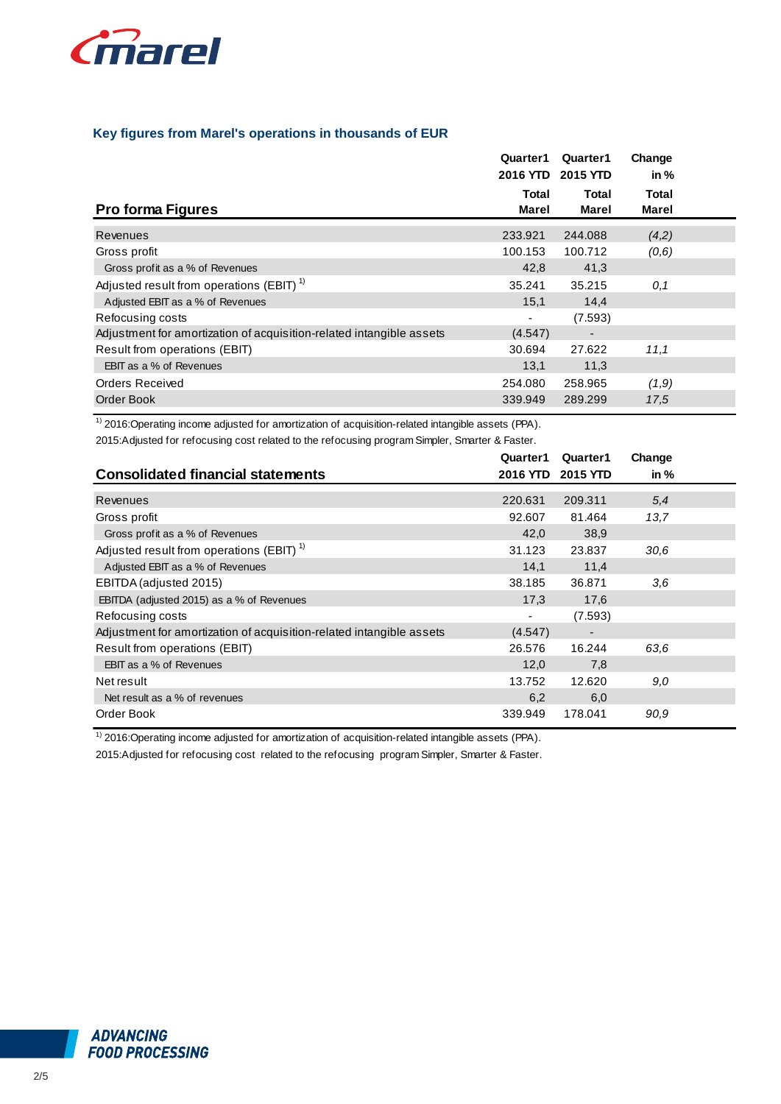

## **Key figures from Marel's operations in thousands of EUR**

|                                                                      | Quarter1<br>2016 YTD 2015 YTD | Quarter1                 | Change<br>in $%$ |  |
|----------------------------------------------------------------------|-------------------------------|--------------------------|------------------|--|
| <b>Pro forma Figures</b>                                             | Total<br>Marel                | Total<br>Marel           | Total<br>Marel   |  |
| Revenues                                                             | 233.921                       | 244.088                  | (4,2)            |  |
| Gross profit                                                         | 100.153                       | 100.712                  | (0,6)            |  |
| Gross profit as a % of Revenues                                      | 42,8                          | 41,3                     |                  |  |
| Adjusted result from operations (EBIT) <sup>1)</sup>                 | 35.241                        | 35.215                   | 0,1              |  |
| Adjusted EBIT as a % of Revenues                                     | 15,1                          | 14,4                     |                  |  |
| Refocusing costs                                                     |                               | (7.593)                  |                  |  |
| Adjustment for amortization of acquisition-related intangible assets | (4.547)                       | $\overline{\phantom{0}}$ |                  |  |
| Result from operations (EBIT)                                        | 30.694                        | 27.622                   | 11,1             |  |
| <b>EBIT</b> as a % of Revenues                                       | 13,1                          | 11,3                     |                  |  |
| Orders Received                                                      | 254.080                       | 258.965                  | (1,9)            |  |
| Order Book                                                           | 339.949                       | 289.299                  | 17,5             |  |

2015:Adjusted for refocusing cost related to the refocusing program Simpler, Smarter & Faster. 1) 2016:Operating income adjusted for amortization of acquisition-related intangible assets (PPA).

|                                                                      | Quarter1 | Quarter1                 | Change |  |
|----------------------------------------------------------------------|----------|--------------------------|--------|--|
| <b>Consolidated financial statements</b>                             |          | 2016 YTD 2015 YTD        | in $%$ |  |
| Revenues                                                             | 220.631  | 209.311                  | 5,4    |  |
| Gross profit                                                         | 92.607   | 81.464                   | 13,7   |  |
| Gross profit as a % of Revenues                                      | 42,0     | 38,9                     |        |  |
| Adjusted result from operations (EBIT) <sup>1)</sup>                 | 31.123   | 23.837                   | 30.6   |  |
| Adjusted EBIT as a % of Revenues                                     | 14,1     | 11,4                     |        |  |
| EBITDA (adjusted 2015)                                               | 38.185   | 36.871                   | 3,6    |  |
| EBITDA (adjusted 2015) as a % of Revenues                            | 17,3     | 17,6                     |        |  |
| Refocusing costs                                                     |          | (7.593)                  |        |  |
| Adjustment for amortization of acquisition-related intangible assets | (4.547)  | $\overline{\phantom{0}}$ |        |  |
| Result from operations (EBIT)                                        | 26.576   | 16.244                   | 63.6   |  |
| EBIT as a % of Revenues                                              | 12,0     | 7,8                      |        |  |
| Net result                                                           | 13.752   | 12.620                   | 9,0    |  |
| Net result as a % of revenues                                        | 6,2      | 6,0                      |        |  |
| Order Book                                                           | 339.949  | 178.041                  | 90,9   |  |

<sup>1)</sup> 2016: Operating income adjusted for amortization of acquisition-related intangible assets (PPA).

2015:Adjusted for refocusing cost related to the refocusing program Simpler, Smarter & Faster.

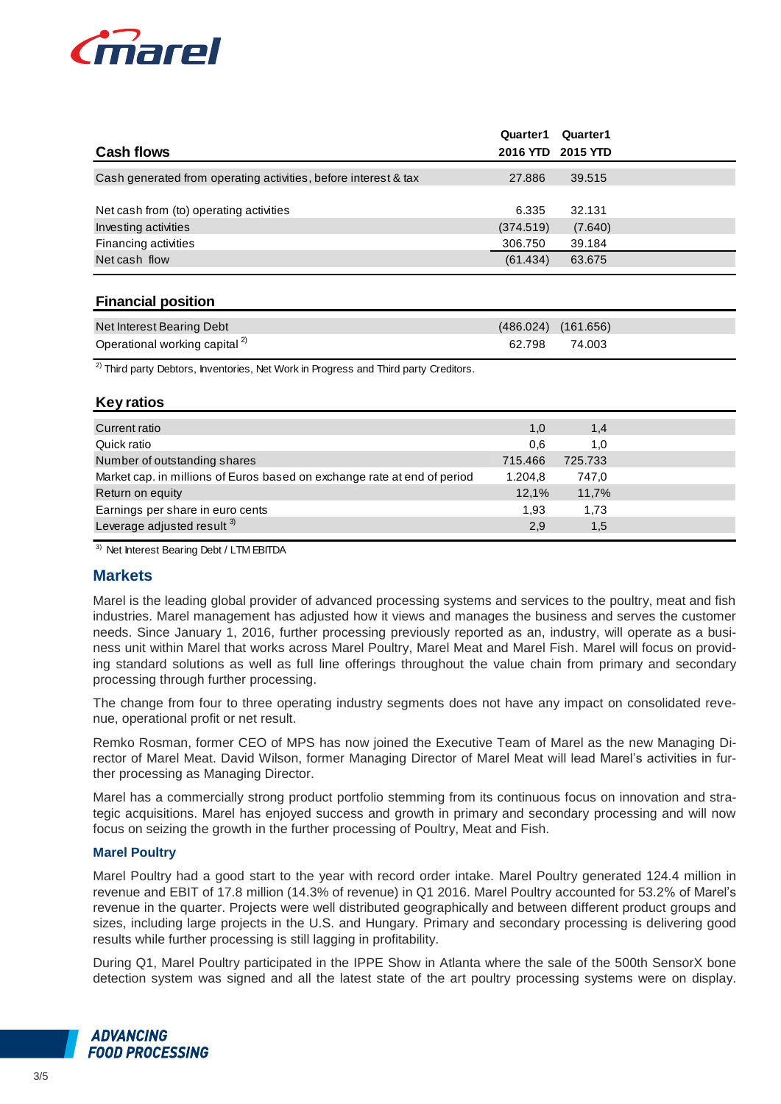

| <b>Cash flows</b>                                               | Quarter1<br>2016 YTD | Quarter1<br>2015 YTD |  |
|-----------------------------------------------------------------|----------------------|----------------------|--|
| Cash generated from operating activities, before interest & tax | 27,886               | 39.515               |  |
| Net cash from (to) operating activities<br>Investing activities | 6.335<br>(374.519)   | 32.131<br>(7.640)    |  |
| Financing activities                                            | 306.750              | 39.184               |  |
| Net cash flow                                                   | (61.434)             | 63.675               |  |

## **Financial position**

| Net Interest Bearing Debt                 | $(486.024)$ $(161.656)$ |
|-------------------------------------------|-------------------------|
| Operational working capital <sup>2)</sup> | 62.798 74.003           |

 $2)$  Third party Debtors, Inventories, Net Work in Progress and Third party Creditors.

## **Key ratios**

| Current ratio                                                            | 1,0     | 1,4     |  |
|--------------------------------------------------------------------------|---------|---------|--|
| Quick ratio                                                              | 0,6     | 1.0     |  |
| Number of outstanding shares                                             | 715.466 | 725.733 |  |
| Market cap. in millions of Euros based on exchange rate at end of period | 1.204.8 | 747,0   |  |
| Return on equity                                                         | 12,1%   | 11,7%   |  |
| Earnings per share in euro cents                                         | 1,93    | 1,73    |  |
| Leverage adjusted result 3)                                              | 2,9     | 1,5     |  |
|                                                                          |         |         |  |

3) Net Interest Bearing Debt / LTM EBITDA

## **Markets**

Marel is the leading global provider of advanced processing systems and services to the poultry, meat and fish industries. Marel management has adjusted how it views and manages the business and serves the customer needs. Since January 1, 2016, further processing previously reported as an, industry, will operate as a business unit within Marel that works across Marel Poultry, Marel Meat and Marel Fish. Marel will focus on providing standard solutions as well as full line offerings throughout the value chain from primary and secondary processing through further processing.

The change from four to three operating industry segments does not have any impact on consolidated revenue, operational profit or net result.

Remko Rosman, former CEO of MPS has now joined the Executive Team of Marel as the new Managing Director of Marel Meat. David Wilson, former Managing Director of Marel Meat will lead Marel's activities in further processing as Managing Director.

Marel has a commercially strong product portfolio stemming from its continuous focus on innovation and strategic acquisitions. Marel has enjoyed success and growth in primary and secondary processing and will now focus on seizing the growth in the further processing of Poultry, Meat and Fish.

## **Marel Poultry**

Marel Poultry had a good start to the year with record order intake. Marel Poultry generated 124.4 million in revenue and EBIT of 17.8 million (14.3% of revenue) in Q1 2016. Marel Poultry accounted for 53.2% of Marel's revenue in the quarter. Projects were well distributed geographically and between different product groups and sizes, including large projects in the U.S. and Hungary. Primary and secondary processing is delivering good results while further processing is still lagging in profitability.

During Q1, Marel Poultry participated in the IPPE Show in Atlanta where the sale of the 500th SensorX bone detection system was signed and all the latest state of the art poultry processing systems were on display.

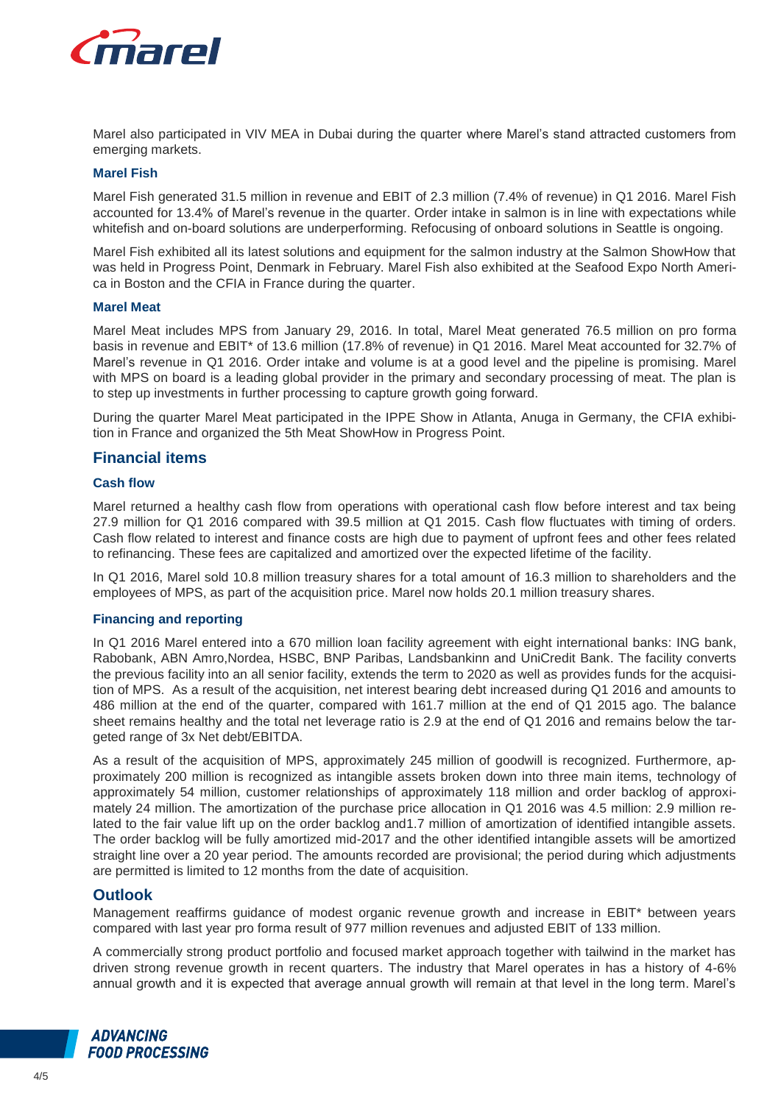

Marel also participated in VIV MEA in Dubai during the quarter where Marel's stand attracted customers from emerging markets.

#### **Marel Fish**

Marel Fish generated 31.5 million in revenue and EBIT of 2.3 million (7.4% of revenue) in Q1 2016. Marel Fish accounted for 13.4% of Marel's revenue in the quarter. Order intake in salmon is in line with expectations while whitefish and on-board solutions are underperforming. Refocusing of onboard solutions in Seattle is ongoing.

Marel Fish exhibited all its latest solutions and equipment for the salmon industry at the Salmon ShowHow that was held in Progress Point, Denmark in February. Marel Fish also exhibited at the Seafood Expo North America in Boston and the CFIA in France during the quarter.

#### **Marel Meat**

Marel Meat includes MPS from January 29, 2016. In total, Marel Meat generated 76.5 million on pro forma basis in revenue and EBIT\* of 13.6 million (17.8% of revenue) in Q1 2016. Marel Meat accounted for 32.7% of Marel's revenue in Q1 2016. Order intake and volume is at a good level and the pipeline is promising. Marel with MPS on board is a leading global provider in the primary and secondary processing of meat. The plan is to step up investments in further processing to capture growth going forward.

During the quarter Marel Meat participated in the IPPE Show in Atlanta, Anuga in Germany, the CFIA exhibition in France and organized the 5th Meat ShowHow in Progress Point.

## **Financial items**

## **Cash flow**

Marel returned a healthy cash flow from operations with operational cash flow before interest and tax being 27.9 million for Q1 2016 compared with 39.5 million at Q1 2015. Cash flow fluctuates with timing of orders. Cash flow related to interest and finance costs are high due to payment of upfront fees and other fees related to refinancing. These fees are capitalized and amortized over the expected lifetime of the facility.

In Q1 2016, Marel sold 10.8 million treasury shares for a total amount of 16.3 million to shareholders and the employees of MPS, as part of the acquisition price. Marel now holds 20.1 million treasury shares.

#### **Financing and reporting**

In Q1 2016 Marel entered into a 670 million loan facility agreement with eight international banks: ING bank, Rabobank, ABN Amro,Nordea, HSBC, BNP Paribas, Landsbankinn and UniCredit Bank. The facility converts the previous facility into an all senior facility, extends the term to 2020 as well as provides funds for the acquisition of MPS. As a result of the acquisition, net interest bearing debt increased during Q1 2016 and amounts to 486 million at the end of the quarter, compared with 161.7 million at the end of Q1 2015 ago. The balance sheet remains healthy and the total net leverage ratio is 2.9 at the end of Q1 2016 and remains below the targeted range of 3x Net debt/EBITDA.

As a result of the acquisition of MPS, approximately 245 million of goodwill is recognized. Furthermore, approximately 200 million is recognized as intangible assets broken down into three main items, technology of approximately 54 million, customer relationships of approximately 118 million and order backlog of approximately 24 million. The amortization of the purchase price allocation in Q1 2016 was 4.5 million: 2.9 million related to the fair value lift up on the order backlog and1.7 million of amortization of identified intangible assets. The order backlog will be fully amortized mid-2017 and the other identified intangible assets will be amortized straight line over a 20 year period. The amounts recorded are provisional; the period during which adjustments are permitted is limited to 12 months from the date of acquisition.

## **Outlook**

Management reaffirms guidance of modest organic revenue growth and increase in EBIT\* between years compared with last year pro forma result of 977 million revenues and adjusted EBIT of 133 million.

A commercially strong product portfolio and focused market approach together with tailwind in the market has driven strong revenue growth in recent quarters. The industry that Marel operates in has a history of 4-6% annual growth and it is expected that average annual growth will remain at that level in the long term. Marel's